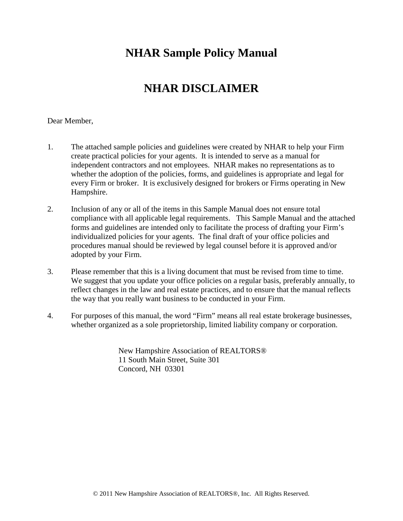# **NHAR Sample Policy Manual**

# **NHAR DISCLAIMER**

#### Dear Member,

- 1. The attached sample policies and guidelines were created by NHAR to help your Firm create practical policies for your agents. It is intended to serve as a manual for independent contractors and not employees. NHAR makes no representations as to whether the adoption of the policies, forms, and guidelines is appropriate and legal for every Firm or broker. It is exclusively designed for brokers or Firms operating in New Hampshire.
- 2. Inclusion of any or all of the items in this Sample Manual does not ensure total compliance with all applicable legal requirements. This Sample Manual and the attached forms and guidelines are intended only to facilitate the process of drafting your Firm's individualized policies for your agents. The final draft of your office policies and procedures manual should be reviewed by legal counsel before it is approved and/or adopted by your Firm.
- 3. Please remember that this is a living document that must be revised from time to time. We suggest that you update your office policies on a regular basis, preferably annually, to reflect changes in the law and real estate practices, and to ensure that the manual reflects the way that you really want business to be conducted in your Firm.
- 4. For purposes of this manual, the word "Firm" means all real estate brokerage businesses, whether organized as a sole proprietorship, limited liability company or corporation.

New Hampshire Association of REALTORS® 11 South Main Street, Suite 301 Concord, NH 03301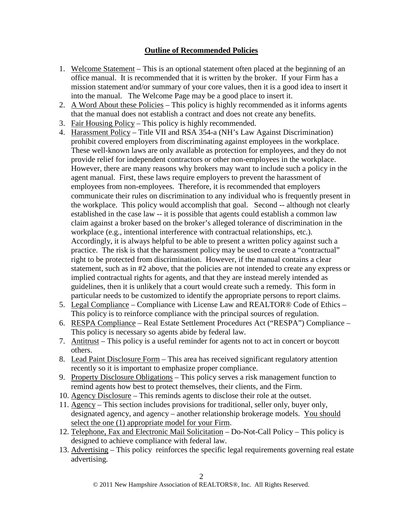# **Outline of Recommended Policies**

- 1. Welcome Statement This is an optional statement often placed at the beginning of an office manual. It is recommended that it is written by the broker. If your Firm has a mission statement and/or summary of your core values, then it is a good idea to insert it into the manual. The Welcome Page may be a good place to insert it.
- 2. A Word About these Policies This policy is highly recommended as it informs agents that the manual does not establish a contract and does not create any benefits.
- 3. Fair Housing Policy This policy is highly recommended.
- 4. Harassment Policy Title VII and RSA 354-a (NH's Law Against Discrimination) prohibit covered employers from discriminating against employees in the workplace. These well-known laws are only available as protection for employees, and they do not provide relief for independent contractors or other non-employees in the workplace. However, there are many reasons why brokers may want to include such a policy in the agent manual. First, these laws require employers to prevent the harassment of employees from non-employees. Therefore, it is recommended that employers communicate their rules on discrimination to any individual who is frequently present in the workplace. This policy would accomplish that goal. Second -- although not clearly established in the case law -- it is possible that agents could establish a common law claim against a broker based on the broker's alleged tolerance of discrimination in the workplace (e.g., intentional interference with contractual relationships, etc.). Accordingly, it is always helpful to be able to present a written policy against such a practice. The risk is that the harassment policy may be used to create a "contractual" right to be protected from discrimination. However, if the manual contains a clear statement, such as in #2 above, that the policies are not intended to create any express or implied contractual rights for agents, and that they are instead merely intended as guidelines, then it is unlikely that a court would create such a remedy. This form in particular needs to be customized to identify the appropriate persons to report claims.
- 5. Legal Compliance Compliance with License Law and REALTOR® Code of Ethics This policy is to reinforce compliance with the principal sources of regulation.
- 6. RESPA Compliance Real Estate Settlement Procedures Act ("RESPA") Compliance This policy is necessary so agents abide by federal law.
- 7. Antitrust This policy is a useful reminder for agents not to act in concert or boycott others.
- 8. Lead Paint Disclosure Form This area has received significant regulatory attention recently so it is important to emphasize proper compliance.
- 9. Property Disclosure Obligations This policy serves a risk management function to remind agents how best to protect themselves, their clients, and the Firm.
- 10. Agency Disclosure This reminds agents to disclose their role at the outset.
- 11. Agency This section includes provisions for traditional, seller only, buyer only, designated agency, and agency – another relationship brokerage models. You should select the one (1) appropriate model for your Firm.
- 12. Telephone, Fax and Electronic Mail Solicitation Do-Not-Call Policy This policy is designed to achieve compliance with federal law.
- 13. Advertising This policy reinforces the specific legal requirements governing real estate advertising.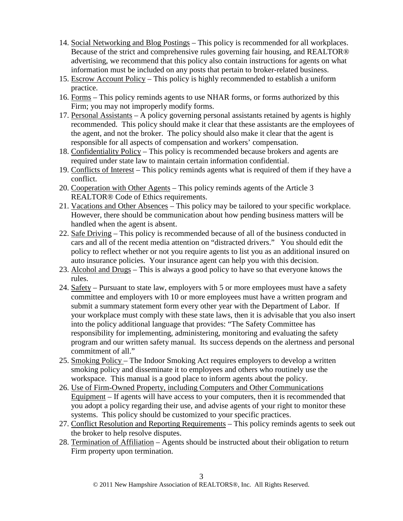- 14. Social Networking and Blog Postings This policy is recommended for all workplaces. Because of the strict and comprehensive rules governing fair housing, and REALTOR® advertising, we recommend that this policy also contain instructions for agents on what information must be included on any posts that pertain to broker-related business.
- 15. Escrow Account Policy This policy is highly recommended to establish a uniform practice.
- 16. Forms This policy reminds agents to use NHAR forms, or forms authorized by this Firm; you may not improperly modify forms.
- 17. Personal Assistants A policy governing personal assistants retained by agents is highly recommended. This policy should make it clear that these assistants are the employees of the agent, and not the broker. The policy should also make it clear that the agent is responsible for all aspects of compensation and workers' compensation.
- 18. Confidentiality Policy This policy is recommended because brokers and agents are required under state law to maintain certain information confidential.
- 19. Conflicts of Interest This policy reminds agents what is required of them if they have a conflict.
- 20. Cooperation with Other Agents This policy reminds agents of the Article 3 REALTOR® Code of Ethics requirements.
- 21. Vacations and Other Absences This policy may be tailored to your specific workplace. However, there should be communication about how pending business matters will be handled when the agent is absent.
- 22. Safe Driving This policy is recommended because of all of the business conducted in cars and all of the recent media attention on "distracted drivers." You should edit the policy to reflect whether or not you require agents to list you as an additional insured on auto insurance policies. Your insurance agent can help you with this decision.
- 23. Alcohol and Drugs This is always a good policy to have so that everyone knows the rules.
- 24. Safety Pursuant to state law, employers with 5 or more employees must have a safety committee and employers with 10 or more employees must have a written program and submit a summary statement form every other year with the Department of Labor. If your workplace must comply with these state laws, then it is advisable that you also insert into the policy additional language that provides: "The Safety Committee has responsibility for implementing, administering, monitoring and evaluating the safety program and our written safety manual. Its success depends on the alertness and personal commitment of all."
- 25. Smoking Policy The Indoor Smoking Act requires employers to develop a written smoking policy and disseminate it to employees and others who routinely use the workspace. This manual is a good place to inform agents about the policy.
- 26. Use of Firm-Owned Property, including Computers and Other Communications Equipment – If agents will have access to your computers, then it is recommended that you adopt a policy regarding their use, and advise agents of your right to monitor these systems. This policy should be customized to your specific practices.
- 27. Conflict Resolution and Reporting Requirements This policy reminds agents to seek out the broker to help resolve disputes.
- 28. Termination of Affiliation Agents should be instructed about their obligation to return Firm property upon termination.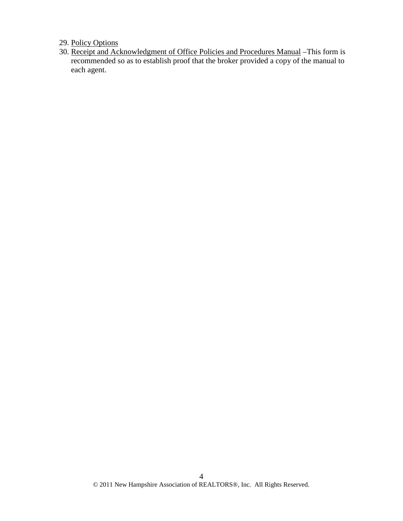29. Policy Options

30. Receipt and Acknowledgment of Office Policies and Procedures Manual –This form is recommended so as to establish proof that the broker provided a copy of the manual to each agent.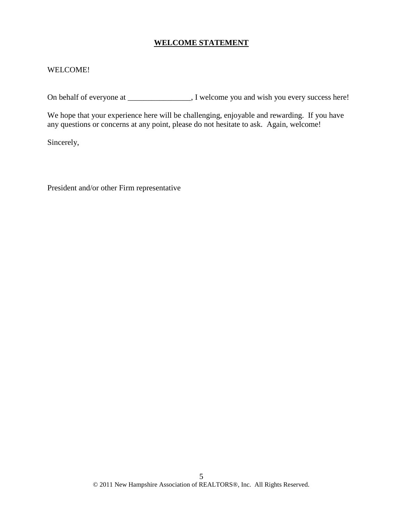#### **WELCOME STATEMENT**

#### WELCOME!

On behalf of everyone at \_\_\_\_\_\_\_\_\_\_\_\_\_\_, I welcome you and wish you every success here!

We hope that your experience here will be challenging, enjoyable and rewarding. If you have any questions or concerns at any point, please do not hesitate to ask. Again, welcome!

Sincerely,

President and/or other Firm representative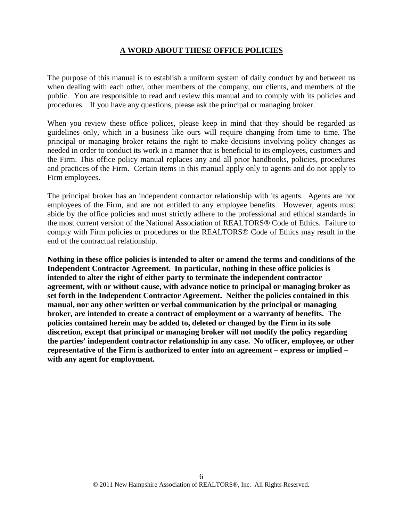#### **A WORD ABOUT THESE OFFICE POLICIES**

The purpose of this manual is to establish a uniform system of daily conduct by and between us when dealing with each other, other members of the company, our clients, and members of the public. You are responsible to read and review this manual and to comply with its policies and procedures. If you have any questions, please ask the principal or managing broker.

When you review these office polices, please keep in mind that they should be regarded as guidelines only, which in a business like ours will require changing from time to time. The principal or managing broker retains the right to make decisions involving policy changes as needed in order to conduct its work in a manner that is beneficial to its employees, customers and the Firm. This office policy manual replaces any and all prior handbooks, policies, procedures and practices of the Firm. Certain items in this manual apply only to agents and do not apply to Firm employees.

The principal broker has an independent contractor relationship with its agents. Agents are not employees of the Firm, and are not entitled to any employee benefits. However, agents must abide by the office policies and must strictly adhere to the professional and ethical standards in the most current version of the National Association of REALTORS® Code of Ethics. Failure to comply with Firm policies or procedures or the REALTORS® Code of Ethics may result in the end of the contractual relationship.

**Nothing in these office policies is intended to alter or amend the terms and conditions of the Independent Contractor Agreement. In particular, nothing in these office policies is intended to alter the right of either party to terminate the independent contractor agreement, with or without cause, with advance notice to principal or managing broker as set forth in the Independent Contractor Agreement. Neither the policies contained in this manual, nor any other written or verbal communication by the principal or managing broker, are intended to create a contract of employment or a warranty of benefits. The policies contained herein may be added to, deleted or changed by the Firm in its sole discretion, except that principal or managing broker will not modify the policy regarding the parties' independent contractor relationship in any case. No officer, employee, or other representative of the Firm is authorized to enter into an agreement – express or implied – with any agent for employment.**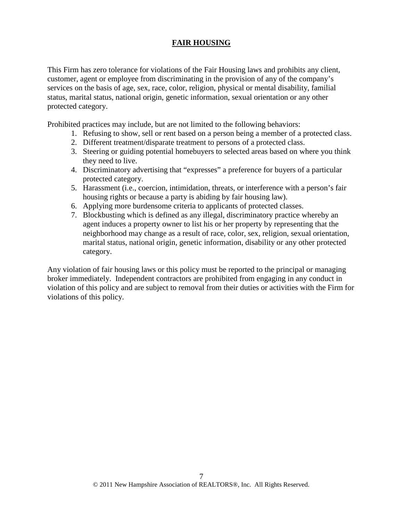# **FAIR HOUSING**

This Firm has zero tolerance for violations of the Fair Housing laws and prohibits any client, customer, agent or employee from discriminating in the provision of any of the company's services on the basis of age, sex, race, color, religion, physical or mental disability, familial status, marital status, national origin, genetic information, sexual orientation or any other protected category.

Prohibited practices may include, but are not limited to the following behaviors:

- 1. Refusing to show, sell or rent based on a person being a member of a protected class.
- 2. Different treatment/disparate treatment to persons of a protected class.
- 3. Steering or guiding potential homebuyers to selected areas based on where you think they need to live.
- 4. Discriminatory advertising that "expresses" a preference for buyers of a particular protected category.
- 5. Harassment (i.e., coercion, intimidation, threats, or interference with a person's fair housing rights or because a party is abiding by fair housing law).
- 6. Applying more burdensome criteria to applicants of protected classes.
- 7. Blockbusting which is defined as any illegal, discriminatory practice whereby an agent induces a property owner to list his or her property by representing that the neighborhood may change as a result of race, color, sex, religion, sexual orientation, marital status, national origin, genetic information, disability or any other protected category.

Any violation of fair housing laws or this policy must be reported to the principal or managing broker immediately. Independent contractors are prohibited from engaging in any conduct in violation of this policy and are subject to removal from their duties or activities with the Firm for violations of this policy.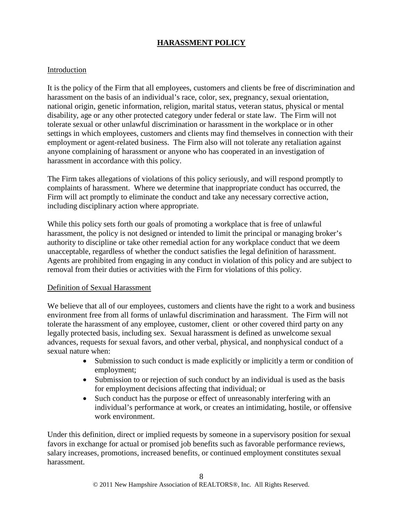# **HARASSMENT POLICY**

#### Introduction

It is the policy of the Firm that all employees, customers and clients be free of discrimination and harassment on the basis of an individual's race, color, sex, pregnancy, sexual orientation, national origin, genetic information, religion, marital status, veteran status, physical or mental disability, age or any other protected category under federal or state law. The Firm will not tolerate sexual or other unlawful discrimination or harassment in the workplace or in other settings in which employees, customers and clients may find themselves in connection with their employment or agent-related business. The Firm also will not tolerate any retaliation against anyone complaining of harassment or anyone who has cooperated in an investigation of harassment in accordance with this policy.

The Firm takes allegations of violations of this policy seriously, and will respond promptly to complaints of harassment. Where we determine that inappropriate conduct has occurred, the Firm will act promptly to eliminate the conduct and take any necessary corrective action, including disciplinary action where appropriate.

While this policy sets forth our goals of promoting a workplace that is free of unlawful harassment, the policy is not designed or intended to limit the principal or managing broker's authority to discipline or take other remedial action for any workplace conduct that we deem unacceptable, regardless of whether the conduct satisfies the legal definition of harassment. Agents are prohibited from engaging in any conduct in violation of this policy and are subject to removal from their duties or activities with the Firm for violations of this policy.

#### Definition of Sexual Harassment

We believe that all of our employees, customers and clients have the right to a work and business environment free from all forms of unlawful discrimination and harassment. The Firm will not tolerate the harassment of any employee, customer, client or other covered third party on any legally protected basis, including sex. Sexual harassment is defined as unwelcome sexual advances, requests for sexual favors, and other verbal, physical, and nonphysical conduct of a sexual nature when:

- Submission to such conduct is made explicitly or implicitly a term or condition of employment;
- Submission to or rejection of such conduct by an individual is used as the basis for employment decisions affecting that individual; or
- Such conduct has the purpose or effect of unreasonably interfering with an individual's performance at work, or creates an intimidating, hostile, or offensive work environment.

Under this definition, direct or implied requests by someone in a supervisory position for sexual favors in exchange for actual or promised job benefits such as favorable performance reviews, salary increases, promotions, increased benefits, or continued employment constitutes sexual harassment.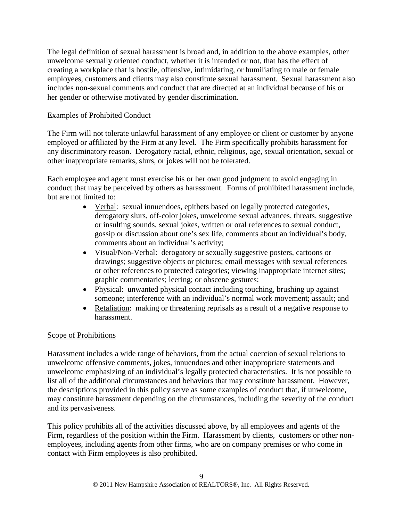The legal definition of sexual harassment is broad and, in addition to the above examples, other unwelcome sexually oriented conduct, whether it is intended or not, that has the effect of creating a workplace that is hostile, offensive, intimidating, or humiliating to male or female employees, customers and clients may also constitute sexual harassment. Sexual harassment also includes non-sexual comments and conduct that are directed at an individual because of his or her gender or otherwise motivated by gender discrimination.

# Examples of Prohibited Conduct

The Firm will not tolerate unlawful harassment of any employee or client or customer by anyone employed or affiliated by the Firm at any level. The Firm specifically prohibits harassment for any discriminatory reason. Derogatory racial, ethnic, religious, age, sexual orientation, sexual or other inappropriate remarks, slurs, or jokes will not be tolerated.

Each employee and agent must exercise his or her own good judgment to avoid engaging in conduct that may be perceived by others as harassment. Forms of prohibited harassment include, but are not limited to:

- Verbal: sexual innuendoes, epithets based on legally protected categories, derogatory slurs, off-color jokes, unwelcome sexual advances, threats, suggestive or insulting sounds, sexual jokes, written or oral references to sexual conduct, gossip or discussion about one's sex life, comments about an individual's body, comments about an individual's activity;
- Visual/Non-Verbal: derogatory or sexually suggestive posters, cartoons or drawings; suggestive objects or pictures; email messages with sexual references or other references to protected categories; viewing inappropriate internet sites; graphic commentaries; leering; or obscene gestures;
- Physical: unwanted physical contact including touching, brushing up against someone; interference with an individual's normal work movement; assault; and
- Retaliation: making or threatening reprisals as a result of a negative response to harassment.

# Scope of Prohibitions

Harassment includes a wide range of behaviors, from the actual coercion of sexual relations to unwelcome offensive comments, jokes, innuendoes and other inappropriate statements and unwelcome emphasizing of an individual's legally protected characteristics. It is not possible to list all of the additional circumstances and behaviors that may constitute harassment. However, the descriptions provided in this policy serve as some examples of conduct that, if unwelcome, may constitute harassment depending on the circumstances, including the severity of the conduct and its pervasiveness.

This policy prohibits all of the activities discussed above, by all employees and agents of the Firm, regardless of the position within the Firm. Harassment by clients, customers or other nonemployees, including agents from other firms, who are on company premises or who come in contact with Firm employees is also prohibited.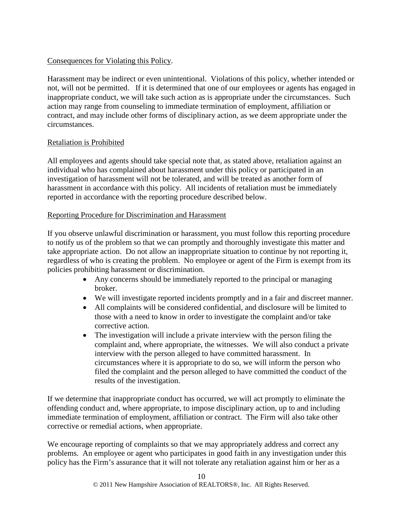### Consequences for Violating this Policy.

Harassment may be indirect or even unintentional. Violations of this policy, whether intended or not, will not be permitted. If it is determined that one of our employees or agents has engaged in inappropriate conduct, we will take such action as is appropriate under the circumstances. Such action may range from counseling to immediate termination of employment, affiliation or contract, and may include other forms of disciplinary action, as we deem appropriate under the circumstances.

#### Retaliation is Prohibited

All employees and agents should take special note that, as stated above, retaliation against an individual who has complained about harassment under this policy or participated in an investigation of harassment will not be tolerated, and will be treated as another form of harassment in accordance with this policy. All incidents of retaliation must be immediately reported in accordance with the reporting procedure described below.

#### Reporting Procedure for Discrimination and Harassment

If you observe unlawful discrimination or harassment, you must follow this reporting procedure to notify us of the problem so that we can promptly and thoroughly investigate this matter and take appropriate action. Do not allow an inappropriate situation to continue by not reporting it, regardless of who is creating the problem. No employee or agent of the Firm is exempt from its policies prohibiting harassment or discrimination.

- Any concerns should be immediately reported to the principal or managing broker.
- We will investigate reported incidents promptly and in a fair and discreet manner.
- All complaints will be considered confidential, and disclosure will be limited to those with a need to know in order to investigate the complaint and/or take corrective action.
- The investigation will include a private interview with the person filing the complaint and, where appropriate, the witnesses. We will also conduct a private interview with the person alleged to have committed harassment. In circumstances where it is appropriate to do so, we will inform the person who filed the complaint and the person alleged to have committed the conduct of the results of the investigation.

If we determine that inappropriate conduct has occurred, we will act promptly to eliminate the offending conduct and, where appropriate, to impose disciplinary action, up to and including immediate termination of employment, affiliation or contract. The Firm will also take other corrective or remedial actions, when appropriate.

We encourage reporting of complaints so that we may appropriately address and correct any problems. An employee or agent who participates in good faith in any investigation under this policy has the Firm's assurance that it will not tolerate any retaliation against him or her as a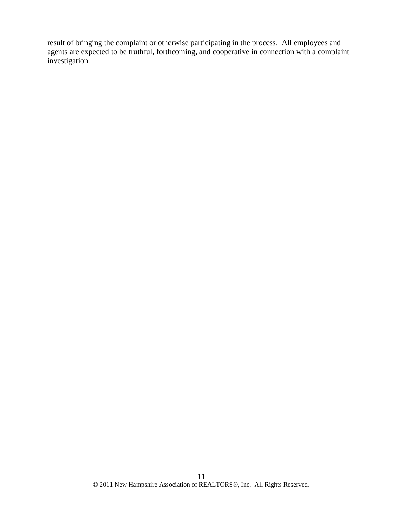result of bringing the complaint or otherwise participating in the process. All employees and agents are expected to be truthful, forthcoming, and cooperative in connection with a complaint investigation.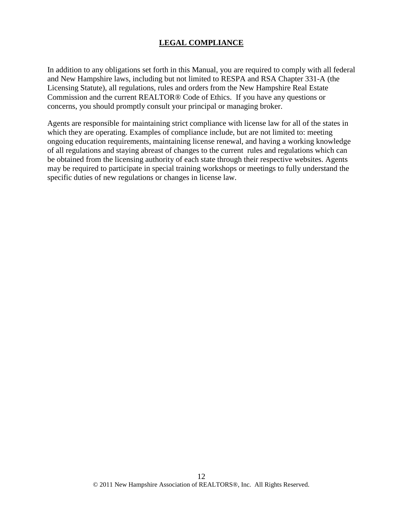#### **LEGAL COMPLIANCE**

In addition to any obligations set forth in this Manual, you are required to comply with all federal and New Hampshire laws, including but not limited to RESPA and RSA Chapter 331-A (the Licensing Statute), all regulations, rules and orders from the New Hampshire Real Estate Commission and the current REALTOR® Code of Ethics. If you have any questions or concerns, you should promptly consult your principal or managing broker.

Agents are responsible for maintaining strict compliance with license law for all of the states in which they are operating. Examples of compliance include, but are not limited to: meeting ongoing education requirements, maintaining license renewal, and having a working knowledge of all regulations and staying abreast of changes to the current rules and regulations which can be obtained from the licensing authority of each state through their respective websites. Agents may be required to participate in special training workshops or meetings to fully understand the specific duties of new regulations or changes in license law.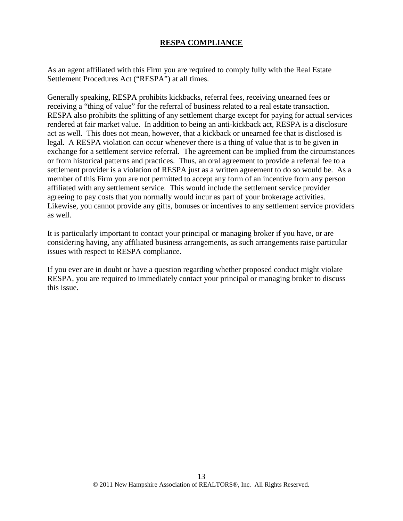#### **RESPA COMPLIANCE**

As an agent affiliated with this Firm you are required to comply fully with the Real Estate Settlement Procedures Act ("RESPA") at all times.

Generally speaking, RESPA prohibits kickbacks, referral fees, receiving unearned fees or receiving a "thing of value" for the referral of business related to a real estate transaction. RESPA also prohibits the splitting of any settlement charge except for paying for actual services rendered at fair market value. In addition to being an anti-kickback act, RESPA is a disclosure act as well. This does not mean, however, that a kickback or unearned fee that is disclosed is legal. A RESPA violation can occur whenever there is a thing of value that is to be given in exchange for a settlement service referral. The agreement can be implied from the circumstances or from historical patterns and practices. Thus, an oral agreement to provide a referral fee to a settlement provider is a violation of RESPA just as a written agreement to do so would be. As a member of this Firm you are not permitted to accept any form of an incentive from any person affiliated with any settlement service. This would include the settlement service provider agreeing to pay costs that you normally would incur as part of your brokerage activities. Likewise, you cannot provide any gifts, bonuses or incentives to any settlement service providers as well.

It is particularly important to contact your principal or managing broker if you have, or are considering having, any affiliated business arrangements, as such arrangements raise particular issues with respect to RESPA compliance.

If you ever are in doubt or have a question regarding whether proposed conduct might violate RESPA, you are required to immediately contact your principal or managing broker to discuss this issue.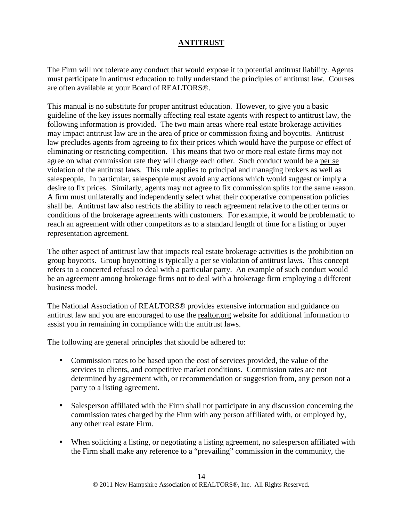# **ANTITRUST**

The Firm will not tolerate any conduct that would expose it to potential antitrust liability. Agents must participate in antitrust education to fully understand the principles of antitrust law. Courses are often available at your Board of REALTORS®.

This manual is no substitute for proper antitrust education. However, to give you a basic guideline of the key issues normally affecting real estate agents with respect to antitrust law, the following information is provided. The two main areas where real estate brokerage activities may impact antitrust law are in the area of price or commission fixing and boycotts. Antitrust law precludes agents from agreeing to fix their prices which would have the purpose or effect of eliminating or restricting competition. This means that two or more real estate firms may not agree on what commission rate they will charge each other. Such conduct would be a per se violation of the antitrust laws. This rule applies to principal and managing brokers as well as salespeople. In particular, salespeople must avoid any actions which would suggest or imply a desire to fix prices. Similarly, agents may not agree to fix commission splits for the same reason. A firm must unilaterally and independently select what their cooperative compensation policies shall be. Antitrust law also restricts the ability to reach agreement relative to the other terms or conditions of the brokerage agreements with customers. For example, it would be problematic to reach an agreement with other competitors as to a standard length of time for a listing or buyer representation agreement.

The other aspect of antitrust law that impacts real estate brokerage activities is the prohibition on group boycotts. Group boycotting is typically a per se violation of antitrust laws. This concept refers to a concerted refusal to deal with a particular party. An example of such conduct would be an agreement among brokerage firms not to deal with a brokerage firm employing a different business model.

The National Association of REALTORS® provides extensive information and guidance on antitrust law and you are encouraged to use the realtor.org website for additional information to assist you in remaining in compliance with the antitrust laws.

The following are general principles that should be adhered to:

- Commission rates to be based upon the cost of services provided, the value of the services to clients, and competitive market conditions. Commission rates are not determined by agreement with, or recommendation or suggestion from, any person not a party to a listing agreement.
- Salesperson affiliated with the Firm shall not participate in any discussion concerning the commission rates charged by the Firm with any person affiliated with, or employed by, any other real estate Firm.
- When soliciting a listing, or negotiating a listing agreement, no salesperson affiliated with the Firm shall make any reference to a "prevailing" commission in the community, the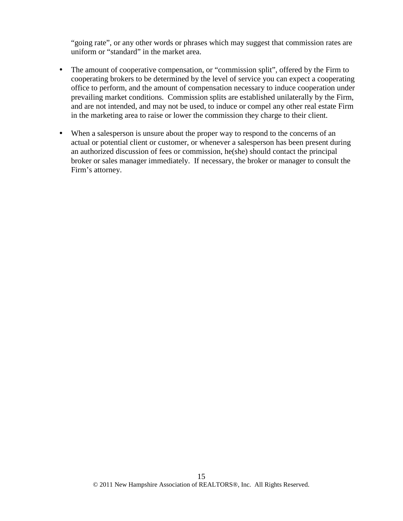"going rate", or any other words or phrases which may suggest that commission rates are uniform or "standard" in the market area.

- The amount of cooperative compensation, or "commission split", offered by the Firm to cooperating brokers to be determined by the level of service you can expect a cooperating office to perform, and the amount of compensation necessary to induce cooperation under prevailing market conditions. Commission splits are established unilaterally by the Firm, and are not intended, and may not be used, to induce or compel any other real estate Firm in the marketing area to raise or lower the commission they charge to their client.
- When a salesperson is unsure about the proper way to respond to the concerns of an actual or potential client or customer, or whenever a salesperson has been present during an authorized discussion of fees or commission, he(she) should contact the principal broker or sales manager immediately. If necessary, the broker or manager to consult the Firm's attorney.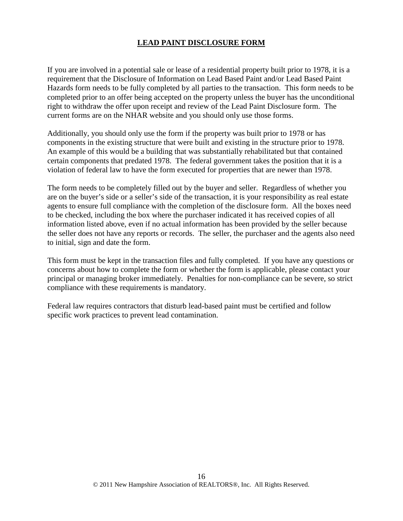### **LEAD PAINT DISCLOSURE FORM**

If you are involved in a potential sale or lease of a residential property built prior to 1978, it is a requirement that the Disclosure of Information on Lead Based Paint and/or Lead Based Paint Hazards form needs to be fully completed by all parties to the transaction. This form needs to be completed prior to an offer being accepted on the property unless the buyer has the unconditional right to withdraw the offer upon receipt and review of the Lead Paint Disclosure form. The current forms are on the NHAR website and you should only use those forms.

Additionally, you should only use the form if the property was built prior to 1978 or has components in the existing structure that were built and existing in the structure prior to 1978. An example of this would be a building that was substantially rehabilitated but that contained certain components that predated 1978. The federal government takes the position that it is a violation of federal law to have the form executed for properties that are newer than 1978.

The form needs to be completely filled out by the buyer and seller. Regardless of whether you are on the buyer's side or a seller's side of the transaction, it is your responsibility as real estate agents to ensure full compliance with the completion of the disclosure form. All the boxes need to be checked, including the box where the purchaser indicated it has received copies of all information listed above, even if no actual information has been provided by the seller because the seller does not have any reports or records. The seller, the purchaser and the agents also need to initial, sign and date the form.

This form must be kept in the transaction files and fully completed. If you have any questions or concerns about how to complete the form or whether the form is applicable, please contact your principal or managing broker immediately. Penalties for non-compliance can be severe, so strict compliance with these requirements is mandatory.

Federal law requires contractors that disturb lead-based paint must be certified and follow specific work practices to prevent lead contamination.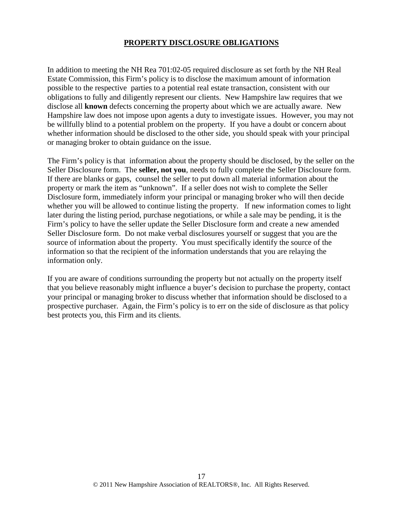#### **PROPERTY DISCLOSURE OBLIGATIONS**

In addition to meeting the NH Rea 701:02-05 required disclosure as set forth by the NH Real Estate Commission, this Firm's policy is to disclose the maximum amount of information possible to the respective parties to a potential real estate transaction, consistent with our obligations to fully and diligently represent our clients. New Hampshire law requires that we disclose all **known** defects concerning the property about which we are actually aware. New Hampshire law does not impose upon agents a duty to investigate issues. However, you may not be willfully blind to a potential problem on the property. If you have a doubt or concern about whether information should be disclosed to the other side, you should speak with your principal or managing broker to obtain guidance on the issue.

The Firm's policy is that information about the property should be disclosed, by the seller on the Seller Disclosure form. The **seller, not you**, needs to fully complete the Seller Disclosure form. If there are blanks or gaps, counsel the seller to put down all material information about the property or mark the item as "unknown". If a seller does not wish to complete the Seller Disclosure form, immediately inform your principal or managing broker who will then decide whether you will be allowed to continue listing the property. If new information comes to light later during the listing period, purchase negotiations, or while a sale may be pending, it is the Firm's policy to have the seller update the Seller Disclosure form and create a new amended Seller Disclosure form. Do not make verbal disclosures yourself or suggest that you are the source of information about the property. You must specifically identify the source of the information so that the recipient of the information understands that you are relaying the information only.

If you are aware of conditions surrounding the property but not actually on the property itself that you believe reasonably might influence a buyer's decision to purchase the property, contact your principal or managing broker to discuss whether that information should be disclosed to a prospective purchaser. Again, the Firm's policy is to err on the side of disclosure as that policy best protects you, this Firm and its clients.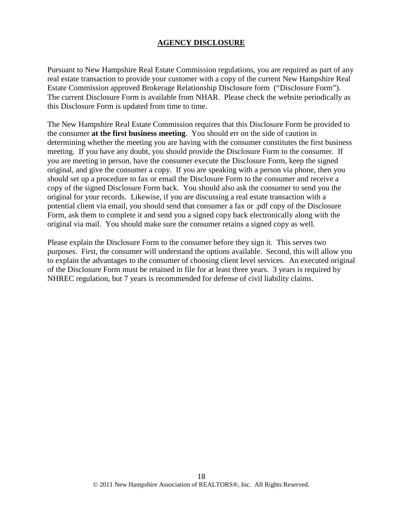#### **AGENCY DISCLOSURE**

Pursuant to New Hampshire Real Estate Commission regulations, you are required as part of any real estate transaction to provide your customer with a copy of the current New Hampshire Real Estate Commission approved Brokerage Relationship Disclosure form ("Disclosure Form"). The current Disclosure Form is available from NHAR. Please check the website periodically as this Disclosure Form is updated from time to time.

The New Hampshire Real Estate Commission requires that this Disclosure Form be provided to the consumer **at the first business meeting**. You should err on the side of caution in determining whether the meeting you are having with the consumer constitutes the first business meeting. If you have any doubt, you should provide the Disclosure Form to the consumer. If you are meeting in person, have the consumer execute the Disclosure Form, keep the signed original, and give the consumer a copy. If you are speaking with a person via phone, then you should set up a procedure to fax or email the Disclosure Form to the consumer and receive a copy of the signed Disclosure Form back. You should also ask the consumer to send you the original for your records. Likewise, if you are discussing a real estate transaction with a potential client via email, you should send that consumer a fax or .pdf copy of the Disclosure Form, ask them to complete it and send you a signed copy back electronically along with the original via mail. You should make sure the consumer retains a signed copy as well.

Please explain the Disclosure Form to the consumer before they sign it. This serves two purposes. First, the consumer will understand the options available. Second, this will allow you to explain the advantages to the consumer of choosing client level services. An executed original of the Disclosure Form must be retained in file for at least three years. 3 years is required by NHREC regulation, but 7 years is recommended for defense of civil liability claims.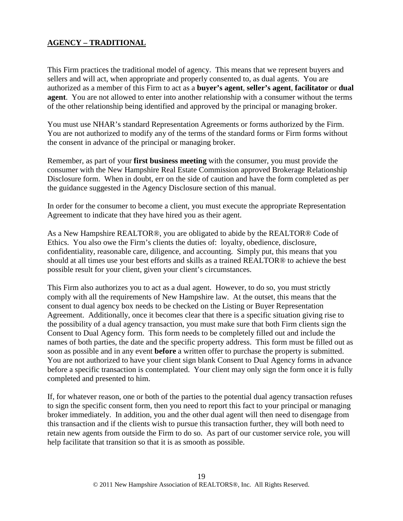# **AGENCY – TRADITIONAL**

This Firm practices the traditional model of agency. This means that we represent buyers and sellers and will act, when appropriate and properly consented to, as dual agents. You are authorized as a member of this Firm to act as a **buyer's agent**, **seller's agent**, **facilitator** or **dual agent**. You are not allowed to enter into another relationship with a consumer without the terms of the other relationship being identified and approved by the principal or managing broker.

You must use NHAR's standard Representation Agreements or forms authorized by the Firm. You are not authorized to modify any of the terms of the standard forms or Firm forms without the consent in advance of the principal or managing broker.

Remember, as part of your **first business meeting** with the consumer, you must provide the consumer with the New Hampshire Real Estate Commission approved Brokerage Relationship Disclosure form. When in doubt, err on the side of caution and have the form completed as per the guidance suggested in the Agency Disclosure section of this manual.

In order for the consumer to become a client, you must execute the appropriate Representation Agreement to indicate that they have hired you as their agent.

As a New Hampshire REALTOR®, you are obligated to abide by the REALTOR® Code of Ethics. You also owe the Firm's clients the duties of: loyalty, obedience, disclosure, confidentiality, reasonable care, diligence, and accounting. Simply put, this means that you should at all times use your best efforts and skills as a trained REALTOR® to achieve the best possible result for your client, given your client's circumstances.

This Firm also authorizes you to act as a dual agent. However, to do so, you must strictly comply with all the requirements of New Hampshire law. At the outset, this means that the consent to dual agency box needs to be checked on the Listing or Buyer Representation Agreement. Additionally, once it becomes clear that there is a specific situation giving rise to the possibility of a dual agency transaction, you must make sure that both Firm clients sign the Consent to Dual Agency form. This form needs to be completely filled out and include the names of both parties, the date and the specific property address. This form must be filled out as soon as possible and in any event **before** a written offer to purchase the property is submitted. You are not authorized to have your client sign blank Consent to Dual Agency forms in advance before a specific transaction is contemplated. Your client may only sign the form once it is fully completed and presented to him.

If, for whatever reason, one or both of the parties to the potential dual agency transaction refuses to sign the specific consent form, then you need to report this fact to your principal or managing broker immediately. In addition, you and the other dual agent will then need to disengage from this transaction and if the clients wish to pursue this transaction further, they will both need to retain new agents from outside the Firm to do so. As part of our customer service role, you will help facilitate that transition so that it is as smooth as possible.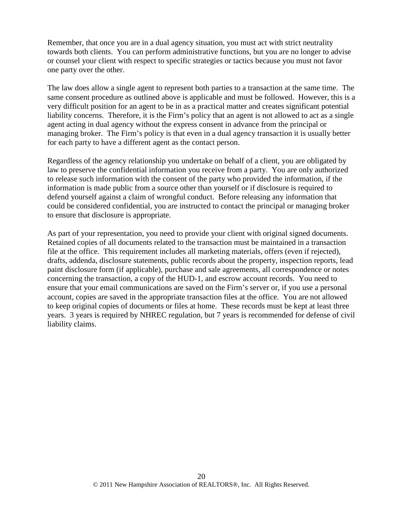Remember, that once you are in a dual agency situation, you must act with strict neutrality towards both clients. You can perform administrative functions, but you are no longer to advise or counsel your client with respect to specific strategies or tactics because you must not favor one party over the other.

The law does allow a single agent to represent both parties to a transaction at the same time. The same consent procedure as outlined above is applicable and must be followed. However, this is a very difficult position for an agent to be in as a practical matter and creates significant potential liability concerns. Therefore, it is the Firm's policy that an agent is not allowed to act as a single agent acting in dual agency without the express consent in advance from the principal or managing broker. The Firm's policy is that even in a dual agency transaction it is usually better for each party to have a different agent as the contact person.

Regardless of the agency relationship you undertake on behalf of a client, you are obligated by law to preserve the confidential information you receive from a party. You are only authorized to release such information with the consent of the party who provided the information, if the information is made public from a source other than yourself or if disclosure is required to defend yourself against a claim of wrongful conduct. Before releasing any information that could be considered confidential, you are instructed to contact the principal or managing broker to ensure that disclosure is appropriate.

As part of your representation, you need to provide your client with original signed documents. Retained copies of all documents related to the transaction must be maintained in a transaction file at the office. This requirement includes all marketing materials, offers (even if rejected), drafts, addenda, disclosure statements, public records about the property, inspection reports, lead paint disclosure form (if applicable), purchase and sale agreements, all correspondence or notes concerning the transaction, a copy of the HUD-1, and escrow account records. You need to ensure that your email communications are saved on the Firm's server or, if you use a personal account, copies are saved in the appropriate transaction files at the office. You are not allowed to keep original copies of documents or files at home. These records must be kept at least three years. 3 years is required by NHREC regulation, but 7 years is recommended for defense of civil liability claims.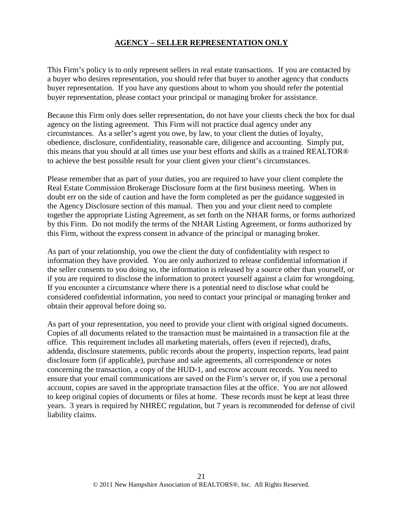### **AGENCY – SELLER REPRESENTATION ONLY**

This Firm's policy is to only represent sellers in real estate transactions. If you are contacted by a buyer who desires representation, you should refer that buyer to another agency that conducts buyer representation. If you have any questions about to whom you should refer the potential buyer representation, please contact your principal or managing broker for assistance.

Because this Firm only does seller representation, do not have your clients check the box for dual agency on the listing agreement. This Firm will not practice dual agency under any circumstances. As a seller's agent you owe, by law, to your client the duties of loyalty, obedience, disclosure, confidentiality, reasonable care, diligence and accounting. Simply put, this means that you should at all times use your best efforts and skills as a trained REALTOR® to achieve the best possible result for your client given your client's circumstances.

Please remember that as part of your duties, you are required to have your client complete the Real Estate Commission Brokerage Disclosure form at the first business meeting. When in doubt err on the side of caution and have the form completed as per the guidance suggested in the Agency Disclosure section of this manual. Then you and your client need to complete together the appropriate Listing Agreement, as set forth on the NHAR forms, or forms authorized by this Firm. Do not modify the terms of the NHAR Listing Agreement, or forms authorized by this Firm, without the express consent in advance of the principal or managing broker.

As part of your relationship, you owe the client the duty of confidentiality with respect to information they have provided. You are only authorized to release confidential information if the seller consents to you doing so, the information is released by a source other than yourself, or if you are required to disclose the information to protect yourself against a claim for wrongdoing. If you encounter a circumstance where there is a potential need to disclose what could be considered confidential information, you need to contact your principal or managing broker and obtain their approval before doing so.

As part of your representation, you need to provide your client with original signed documents. Copies of all documents related to the transaction must be maintained in a transaction file at the office. This requirement includes all marketing materials, offers (even if rejected), drafts, addenda, disclosure statements, public records about the property, inspection reports, lead paint disclosure form (if applicable), purchase and sale agreements, all correspondence or notes concerning the transaction, a copy of the HUD-1, and escrow account records. You need to ensure that your email communications are saved on the Firm's server or, if you use a personal account, copies are saved in the appropriate transaction files at the office. You are not allowed to keep original copies of documents or files at home. These records must be kept at least three years. 3 years is required by NHREC regulation, but 7 years is recommended for defense of civil liability claims.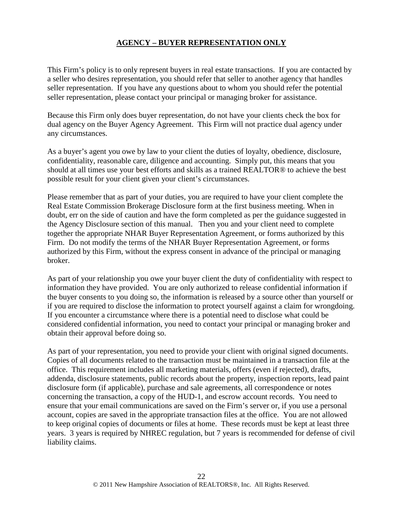# **AGENCY – BUYER REPRESENTATION ONLY**

This Firm's policy is to only represent buyers in real estate transactions. If you are contacted by a seller who desires representation, you should refer that seller to another agency that handles seller representation. If you have any questions about to whom you should refer the potential seller representation, please contact your principal or managing broker for assistance.

Because this Firm only does buyer representation, do not have your clients check the box for dual agency on the Buyer Agency Agreement. This Firm will not practice dual agency under any circumstances.

As a buyer's agent you owe by law to your client the duties of loyalty, obedience, disclosure, confidentiality, reasonable care, diligence and accounting. Simply put, this means that you should at all times use your best efforts and skills as a trained REALTOR® to achieve the best possible result for your client given your client's circumstances.

Please remember that as part of your duties, you are required to have your client complete the Real Estate Commission Brokerage Disclosure form at the first business meeting. When in doubt, err on the side of caution and have the form completed as per the guidance suggested in the Agency Disclosure section of this manual. Then you and your client need to complete together the appropriate NHAR Buyer Representation Agreement, or forms authorized by this Firm. Do not modify the terms of the NHAR Buyer Representation Agreement, or forms authorized by this Firm, without the express consent in advance of the principal or managing broker.

As part of your relationship you owe your buyer client the duty of confidentiality with respect to information they have provided. You are only authorized to release confidential information if the buyer consents to you doing so, the information is released by a source other than yourself or if you are required to disclose the information to protect yourself against a claim for wrongdoing. If you encounter a circumstance where there is a potential need to disclose what could be considered confidential information, you need to contact your principal or managing broker and obtain their approval before doing so.

As part of your representation, you need to provide your client with original signed documents. Copies of all documents related to the transaction must be maintained in a transaction file at the office. This requirement includes all marketing materials, offers (even if rejected), drafts, addenda, disclosure statements, public records about the property, inspection reports, lead paint disclosure form (if applicable), purchase and sale agreements, all correspondence or notes concerning the transaction, a copy of the HUD-1, and escrow account records. You need to ensure that your email communications are saved on the Firm's server or, if you use a personal account, copies are saved in the appropriate transaction files at the office. You are not allowed to keep original copies of documents or files at home. These records must be kept at least three years. 3 years is required by NHREC regulation, but 7 years is recommended for defense of civil liability claims.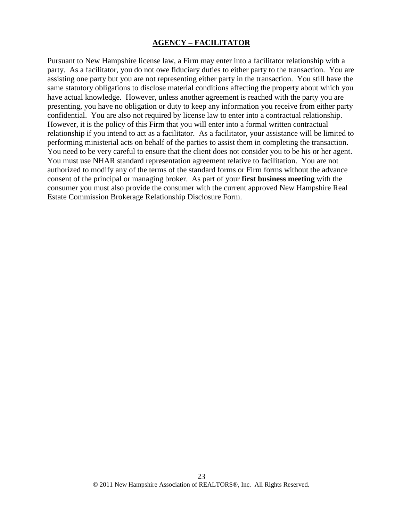#### **AGENCY – FACILITATOR**

Pursuant to New Hampshire license law, a Firm may enter into a facilitator relationship with a party. As a facilitator, you do not owe fiduciary duties to either party to the transaction. You are assisting one party but you are not representing either party in the transaction. You still have the same statutory obligations to disclose material conditions affecting the property about which you have actual knowledge. However, unless another agreement is reached with the party you are presenting, you have no obligation or duty to keep any information you receive from either party confidential. You are also not required by license law to enter into a contractual relationship. However, it is the policy of this Firm that you will enter into a formal written contractual relationship if you intend to act as a facilitator. As a facilitator, your assistance will be limited to performing ministerial acts on behalf of the parties to assist them in completing the transaction. You need to be very careful to ensure that the client does not consider you to be his or her agent. You must use NHAR standard representation agreement relative to facilitation. You are not authorized to modify any of the terms of the standard forms or Firm forms without the advance consent of the principal or managing broker. As part of your **first business meeting** with the consumer you must also provide the consumer with the current approved New Hampshire Real Estate Commission Brokerage Relationship Disclosure Form.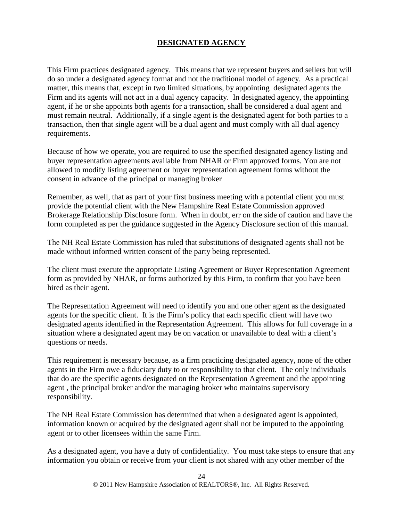# **DESIGNATED AGENCY**

This Firm practices designated agency. This means that we represent buyers and sellers but will do so under a designated agency format and not the traditional model of agency. As a practical matter, this means that, except in two limited situations, by appointing designated agents the Firm and its agents will not act in a dual agency capacity. In designated agency, the appointing agent, if he or she appoints both agents for a transaction, shall be considered a dual agent and must remain neutral. Additionally, if a single agent is the designated agent for both parties to a transaction, then that single agent will be a dual agent and must comply with all dual agency requirements.

Because of how we operate, you are required to use the specified designated agency listing and buyer representation agreements available from NHAR or Firm approved forms. You are not allowed to modify listing agreement or buyer representation agreement forms without the consent in advance of the principal or managing broker

Remember, as well, that as part of your first business meeting with a potential client you must provide the potential client with the New Hampshire Real Estate Commission approved Brokerage Relationship Disclosure form. When in doubt, err on the side of caution and have the form completed as per the guidance suggested in the Agency Disclosure section of this manual.

The NH Real Estate Commission has ruled that substitutions of designated agents shall not be made without informed written consent of the party being represented.

The client must execute the appropriate Listing Agreement or Buyer Representation Agreement form as provided by NHAR, or forms authorized by this Firm, to confirm that you have been hired as their agent.

The Representation Agreement will need to identify you and one other agent as the designated agents for the specific client. It is the Firm's policy that each specific client will have two designated agents identified in the Representation Agreement. This allows for full coverage in a situation where a designated agent may be on vacation or unavailable to deal with a client's questions or needs.

This requirement is necessary because, as a firm practicing designated agency, none of the other agents in the Firm owe a fiduciary duty to or responsibility to that client. The only individuals that do are the specific agents designated on the Representation Agreement and the appointing agent , the principal broker and/or the managing broker who maintains supervisory responsibility.

The NH Real Estate Commission has determined that when a designated agent is appointed, information known or acquired by the designated agent shall not be imputed to the appointing agent or to other licensees within the same Firm.

As a designated agent, you have a duty of confidentiality. You must take steps to ensure that any information you obtain or receive from your client is not shared with any other member of the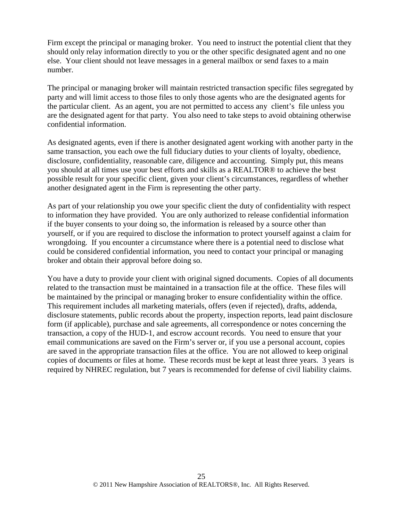Firm except the principal or managing broker. You need to instruct the potential client that they should only relay information directly to you or the other specific designated agent and no one else. Your client should not leave messages in a general mailbox or send faxes to a main number.

The principal or managing broker will maintain restricted transaction specific files segregated by party and will limit access to those files to only those agents who are the designated agents for the particular client. As an agent, you are not permitted to access any client's file unless you are the designated agent for that party. You also need to take steps to avoid obtaining otherwise confidential information.

As designated agents, even if there is another designated agent working with another party in the same transaction, you each owe the full fiduciary duties to your clients of loyalty, obedience, disclosure, confidentiality, reasonable care, diligence and accounting. Simply put, this means you should at all times use your best efforts and skills as a REALTOR® to achieve the best possible result for your specific client, given your client's circumstances, regardless of whether another designated agent in the Firm is representing the other party.

As part of your relationship you owe your specific client the duty of confidentiality with respect to information they have provided. You are only authorized to release confidential information if the buyer consents to your doing so, the information is released by a source other than yourself, or if you are required to disclose the information to protect yourself against a claim for wrongdoing. If you encounter a circumstance where there is a potential need to disclose what could be considered confidential information, you need to contact your principal or managing broker and obtain their approval before doing so.

You have a duty to provide your client with original signed documents. Copies of all documents related to the transaction must be maintained in a transaction file at the office. These files will be maintained by the principal or managing broker to ensure confidentiality within the office. This requirement includes all marketing materials, offers (even if rejected), drafts, addenda, disclosure statements, public records about the property, inspection reports, lead paint disclosure form (if applicable), purchase and sale agreements, all correspondence or notes concerning the transaction, a copy of the HUD-1, and escrow account records. You need to ensure that your email communications are saved on the Firm's server or, if you use a personal account, copies are saved in the appropriate transaction files at the office. You are not allowed to keep original copies of documents or files at home. These records must be kept at least three years. 3 years is required by NHREC regulation, but 7 years is recommended for defense of civil liability claims.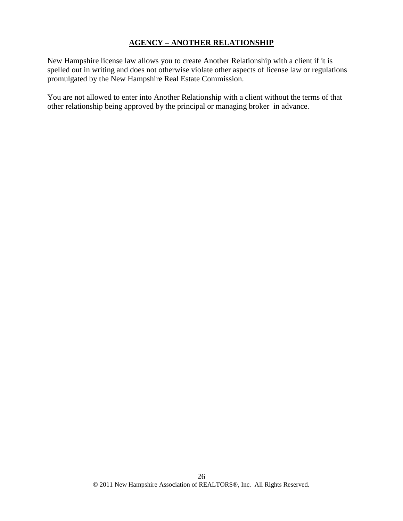# **AGENCY – ANOTHER RELATIONSHIP**

New Hampshire license law allows you to create Another Relationship with a client if it is spelled out in writing and does not otherwise violate other aspects of license law or regulations promulgated by the New Hampshire Real Estate Commission.

You are not allowed to enter into Another Relationship with a client without the terms of that other relationship being approved by the principal or managing broker in advance.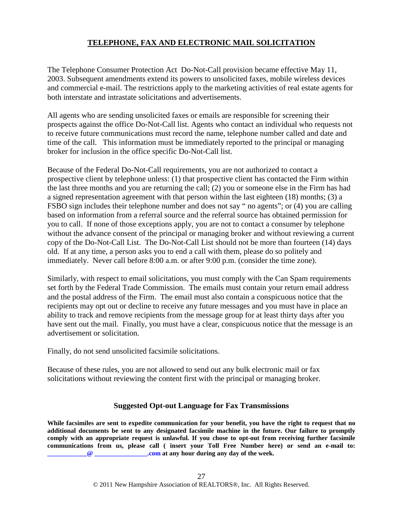# **TELEPHONE, FAX AND ELECTRONIC MAIL SOLICITATION**

The Telephone Consumer Protection Act Do-Not-Call provision became effective May 11, 2003. Subsequent amendments extend its powers to unsolicited faxes, mobile wireless devices and commercial e-mail. The restrictions apply to the marketing activities of real estate agents for both interstate and intrastate solicitations and advertisements.

All agents who are sending unsolicited faxes or emails are responsible for screening their prospects against the office Do-Not-Call list. Agents who contact an individual who requests not to receive future communications must record the name, telephone number called and date and time of the call. This information must be immediately reported to the principal or managing broker for inclusion in the office specific Do-Not-Call list.

Because of the Federal Do-Not-Call requirements, you are not authorized to contact a prospective client by telephone unless: (1) that prospective client has contacted the Firm within the last three months and you are returning the call; (2) you or someone else in the Firm has had a signed representation agreement with that person within the last eighteen (18) months; (3) a FSBO sign includes their telephone number and does not say " no agents"; or (4) you are calling based on information from a referral source and the referral source has obtained permission for you to call. If none of those exceptions apply, you are not to contact a consumer by telephone without the advance consent of the principal or managing broker and without reviewing a current copy of the Do-Not-Call List. The Do-Not-Call List should not be more than fourteen (14) days old. If at any time, a person asks you to end a call with them, please do so politely and immediately. Never call before 8:00 a.m. or after 9:00 p.m. (consider the time zone).

Similarly, with respect to email solicitations, you must comply with the Can Spam requirements set forth by the Federal Trade Commission. The emails must contain your return email address and the postal address of the Firm. The email must also contain a conspicuous notice that the recipients may opt out or decline to receive any future messages and you must have in place an ability to track and remove recipients from the message group for at least thirty days after you have sent out the mail. Finally, you must have a clear, conspicuous notice that the message is an advertisement or solicitation.

Finally, do not send unsolicited facsimile solicitations.

Because of these rules, you are not allowed to send out any bulk electronic mail or fax solicitations without reviewing the content first with the principal or managing broker.

# **Suggested Opt-out Language for Fax Transmissions**

**While facsimiles are sent to expedite communication for your benefit, you have the right to request that no additional documents be sent to any designated facsimile machine in the future. Our failure to promptly comply with an appropriate request is unlawful. If you chose to opt-out from receiving further facsimile communications from us, please call ( insert your Toll Free Number here) or send an e-mail to: [\\_\\_\\_\\_\\_\\_\\_\\_\\_\\_\\_\\_@ \\_\\_\\_\\_\\_\\_\\_\\_\\_\\_\\_\\_\\_\\_\\_\\_.com](mailto:ntoye@thegovegroup.com) at any hour during any day of the week.**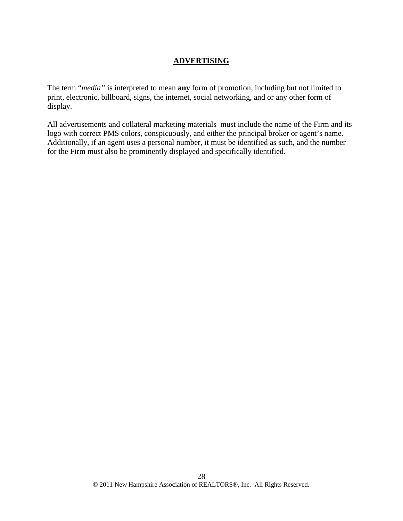# **ADVERTISING**

The term "*media"* is interpreted to mean **any** form of promotion, including but not limited to print, electronic, billboard, signs, the internet, social networking, and or any other form of display.

All advertisements and collateral marketing materials must include the name of the Firm and its logo with correct PMS colors, conspicuously, and either the principal broker or agent's name. Additionally, if an agent uses a personal number, it must be identified as such, and the number for the Firm must also be prominently displayed and specifically identified.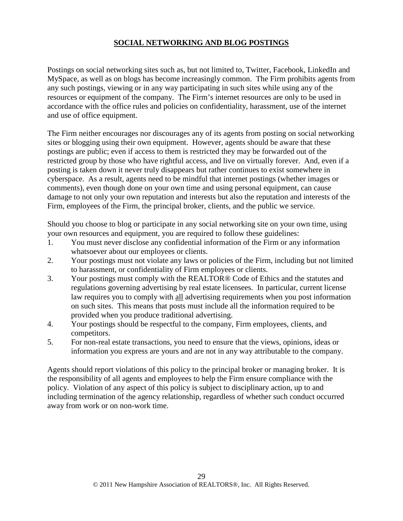# **SOCIAL NETWORKING AND BLOG POSTINGS**

Postings on social networking sites such as, but not limited to, Twitter, Facebook, LinkedIn and MySpace, as well as on blogs has become increasingly common. The Firm prohibits agents from any such postings, viewing or in any way participating in such sites while using any of the resources or equipment of the company. The Firm's internet resources are only to be used in accordance with the office rules and policies on confidentiality, harassment, use of the internet and use of office equipment.

The Firm neither encourages nor discourages any of its agents from posting on social networking sites or blogging using their own equipment. However, agents should be aware that these postings are public; even if access to them is restricted they may be forwarded out of the restricted group by those who have rightful access, and live on virtually forever. And, even if a posting is taken down it never truly disappears but rather continues to exist somewhere in cyberspace. As a result, agents need to be mindful that internet postings (whether images or comments), even though done on your own time and using personal equipment, can cause damage to not only your own reputation and interests but also the reputation and interests of the Firm, employees of the Firm, the principal broker, clients, and the public we service.

Should you choose to blog or participate in any social networking site on your own time, using your own resources and equipment, you are required to follow these guidelines:

- 1. You must never disclose any confidential information of the Firm or any information whatsoever about our employees or clients.
- 2. Your postings must not violate any laws or policies of the Firm, including but not limited to harassment, or confidentiality of Firm employees or clients.
- 3. Your postings must comply with the REALTOR® Code of Ethics and the statutes and regulations governing advertising by real estate licensees. In particular, current license law requires you to comply with all advertising requirements when you post information on such sites. This means that posts must include all the information required to be provided when you produce traditional advertising.
- 4. Your postings should be respectful to the company, Firm employees, clients, and competitors.
- 5. For non-real estate transactions, you need to ensure that the views, opinions, ideas or information you express are yours and are not in any way attributable to the company.

Agents should report violations of this policy to the principal broker or managing broker. It is the responsibility of all agents and employees to help the Firm ensure compliance with the policy. Violation of any aspect of this policy is subject to disciplinary action, up to and including termination of the agency relationship, regardless of whether such conduct occurred away from work or on non-work time.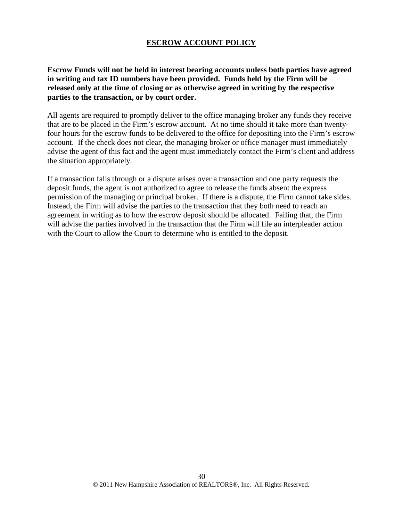#### **ESCROW ACCOUNT POLICY**

**Escrow Funds will not be held in interest bearing accounts unless both parties have agreed in writing and tax ID numbers have been provided. Funds held by the Firm will be released only at the time of closing or as otherwise agreed in writing by the respective parties to the transaction, or by court order.**

All agents are required to promptly deliver to the office managing broker any funds they receive that are to be placed in the Firm's escrow account. At no time should it take more than twentyfour hours for the escrow funds to be delivered to the office for depositing into the Firm's escrow account. If the check does not clear, the managing broker or office manager must immediately advise the agent of this fact and the agent must immediately contact the Firm's client and address the situation appropriately.

If a transaction falls through or a dispute arises over a transaction and one party requests the deposit funds, the agent is not authorized to agree to release the funds absent the express permission of the managing or principal broker. If there is a dispute, the Firm cannot take sides. Instead, the Firm will advise the parties to the transaction that they both need to reach an agreement in writing as to how the escrow deposit should be allocated. Failing that, the Firm will advise the parties involved in the transaction that the Firm will file an interpleader action with the Court to allow the Court to determine who is entitled to the deposit.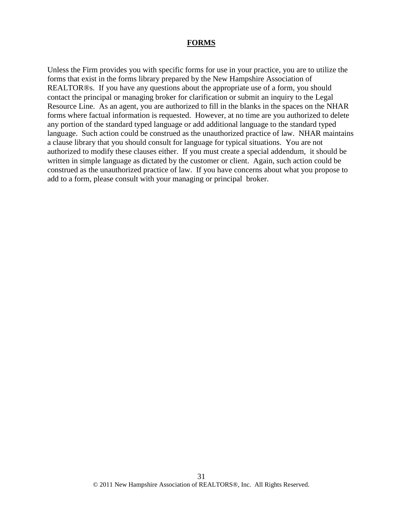#### **FORMS**

Unless the Firm provides you with specific forms for use in your practice, you are to utilize the forms that exist in the forms library prepared by the New Hampshire Association of REALTOR®s. If you have any questions about the appropriate use of a form, you should contact the principal or managing broker for clarification or submit an inquiry to the Legal Resource Line. As an agent, you are authorized to fill in the blanks in the spaces on the NHAR forms where factual information is requested. However, at no time are you authorized to delete any portion of the standard typed language or add additional language to the standard typed language. Such action could be construed as the unauthorized practice of law. NHAR maintains a clause library that you should consult for language for typical situations. You are not authorized to modify these clauses either. If you must create a special addendum, it should be written in simple language as dictated by the customer or client. Again, such action could be construed as the unauthorized practice of law. If you have concerns about what you propose to add to a form, please consult with your managing or principal broker.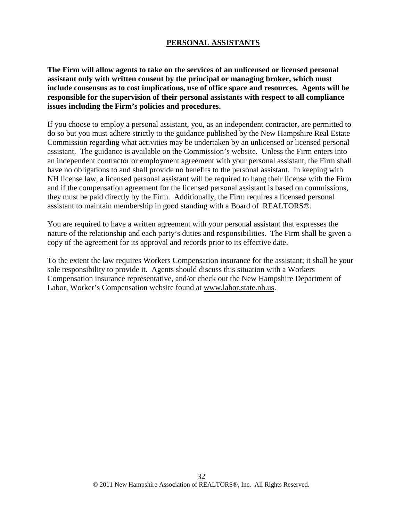#### **PERSONAL ASSISTANTS**

**The Firm will allow agents to take on the services of an unlicensed or licensed personal assistant only with written consent by the principal or managing broker, which must include consensus as to cost implications, use of office space and resources. Agents will be responsible for the supervision of their personal assistants with respect to all compliance issues including the Firm's policies and procedures.**

If you choose to employ a personal assistant, you, as an independent contractor, are permitted to do so but you must adhere strictly to the guidance published by the New Hampshire Real Estate Commission regarding what activities may be undertaken by an unlicensed or licensed personal assistant. The guidance is available on the Commission's website. Unless the Firm enters into an independent contractor or employment agreement with your personal assistant, the Firm shall have no obligations to and shall provide no benefits to the personal assistant. In keeping with NH license law, a licensed personal assistant will be required to hang their license with the Firm and if the compensation agreement for the licensed personal assistant is based on commissions, they must be paid directly by the Firm. Additionally, the Firm requires a licensed personal assistant to maintain membership in good standing with a Board of REALTORS®.

You are required to have a written agreement with your personal assistant that expresses the nature of the relationship and each party's duties and responsibilities. The Firm shall be given a copy of the agreement for its approval and records prior to its effective date.

To the extent the law requires Workers Compensation insurance for the assistant; it shall be your sole responsibility to provide it. Agents should discuss this situation with a Workers Compensation insurance representative, and/or check out the New Hampshire Department of Labor, Worker's Compensation website found at www.labor.state.nh.us.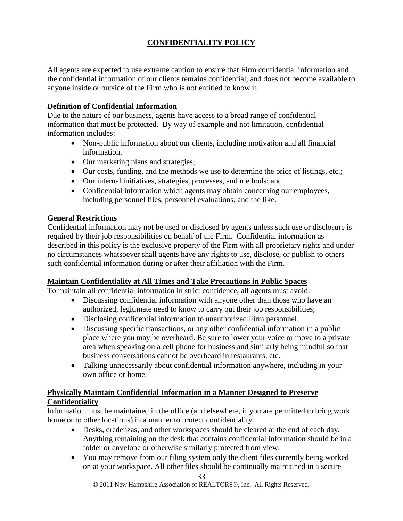# **CONFIDENTIALITY POLICY**

All agents are expected to use extreme caution to ensure that Firm confidential information and the confidential information of our clients remains confidential, and does not become available to anyone inside or outside of the Firm who is not entitled to know it.

# **Definition of Confidential Information**

Due to the nature of our business, agents have access to a broad range of confidential information that must be protected. By way of example and not limitation, confidential information includes:

- Non-public information about our clients, including motivation and all financial information.
- Our marketing plans and strategies;
- Our costs, funding, and the methods we use to determine the price of listings, etc.;
- Our internal initiatives, strategies, processes, and methods; and
- Confidential information which agents may obtain concerning our employees, including personnel files, personnel evaluations, and the like.

# **General Restrictions**

Confidential information may not be used or disclosed by agents unless such use or disclosure is required by their job responsibilities on behalf of the Firm. Confidential information as described in this policy is the exclusive property of the Firm with all proprietary rights and under no circumstances whatsoever shall agents have any rights to use, disclose, or publish to others such confidential information during or after their affiliation with the Firm.

# **Maintain Confidentiality at All Times and Take Precautions in Public Spaces**

To maintain all confidential information in strict confidence, all agents must avoid:

- Discussing confidential information with anyone other than those who have an authorized, legitimate need to know to carry out their job responsibilities;
- Disclosing confidential information to unauthorized Firm personnel.
- Discussing specific transactions, or any other confidential information in a public place where you may be overheard. Be sure to lower your voice or move to a private area when speaking on a cell phone for business and similarly being mindful so that business conversations cannot be overheard in restaurants, etc.
- Talking unnecessarily about confidential information anywhere, including in your own office or home.

# **Physically Maintain Confidential Information in a Manner Designed to Preserve Confidentiality**

Information must be maintained in the office (and elsewhere, if you are permitted to bring work home or to other locations) in a manner to protect confidentiality.

- Desks, credenzas, and other workspaces should be cleared at the end of each day. Anything remaining on the desk that contains confidential information should be in a folder or envelope or otherwise similarly protected from view.
- You may remove from our filing system only the client files currently being worked on at your workspace. All other files should be continually maintained in a secure

© 2011 New Hampshire Association of REALTORS®, Inc. All Rights Reserved.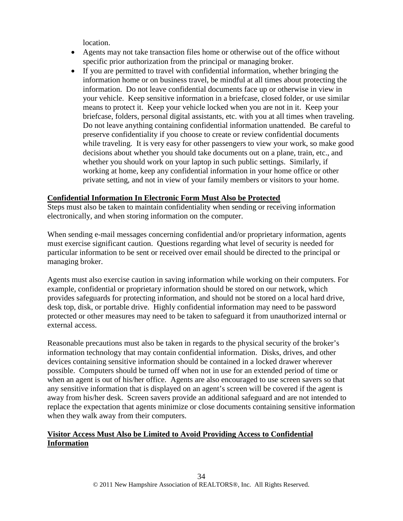location.

- Agents may not take transaction files home or otherwise out of the office without specific prior authorization from the principal or managing broker.
- If you are permitted to travel with confidential information, whether bringing the information home or on business travel, be mindful at all times about protecting the information. Do not leave confidential documents face up or otherwise in view in your vehicle. Keep sensitive information in a briefcase, closed folder, or use similar means to protect it. Keep your vehicle locked when you are not in it. Keep your briefcase, folders, personal digital assistants, etc. with you at all times when traveling. Do not leave anything containing confidential information unattended. Be careful to preserve confidentiality if you choose to create or review confidential documents while traveling. It is very easy for other passengers to view your work, so make good decisions about whether you should take documents out on a plane, train, etc., and whether you should work on your laptop in such public settings. Similarly, if working at home, keep any confidential information in your home office or other private setting, and not in view of your family members or visitors to your home.

# **Confidential Information In Electronic Form Must Also be Protected**

Steps must also be taken to maintain confidentiality when sending or receiving information electronically, and when storing information on the computer.

When sending e-mail messages concerning confidential and/or proprietary information, agents must exercise significant caution. Questions regarding what level of security is needed for particular information to be sent or received over email should be directed to the principal or managing broker.

Agents must also exercise caution in saving information while working on their computers. For example, confidential or proprietary information should be stored on our network, which provides safeguards for protecting information, and should not be stored on a local hard drive, desk top, disk, or portable drive. Highly confidential information may need to be password protected or other measures may need to be taken to safeguard it from unauthorized internal or external access.

Reasonable precautions must also be taken in regards to the physical security of the broker's information technology that may contain confidential information. Disks, drives, and other devices containing sensitive information should be contained in a locked drawer wherever possible. Computers should be turned off when not in use for an extended period of time or when an agent is out of his/her office. Agents are also encouraged to use screen savers so that any sensitive information that is displayed on an agent's screen will be covered if the agent is away from his/her desk. Screen savers provide an additional safeguard and are not intended to replace the expectation that agents minimize or close documents containing sensitive information when they walk away from their computers.

# **Visitor Access Must Also be Limited to Avoid Providing Access to Confidential Information**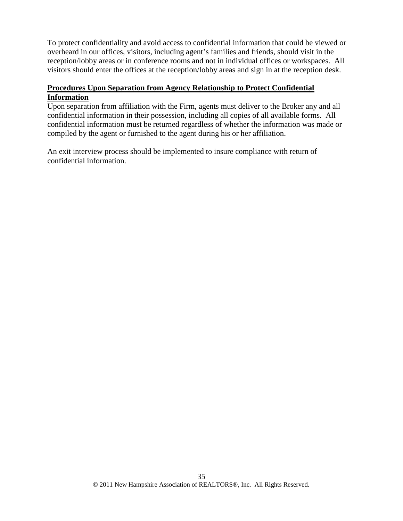To protect confidentiality and avoid access to confidential information that could be viewed or overheard in our offices, visitors, including agent's families and friends, should visit in the reception/lobby areas or in conference rooms and not in individual offices or workspaces. All visitors should enter the offices at the reception/lobby areas and sign in at the reception desk.

# **Procedures Upon Separation from Agency Relationship to Protect Confidential Information**

Upon separation from affiliation with the Firm, agents must deliver to the Broker any and all confidential information in their possession, including all copies of all available forms. All confidential information must be returned regardless of whether the information was made or compiled by the agent or furnished to the agent during his or her affiliation.

An exit interview process should be implemented to insure compliance with return of confidential information.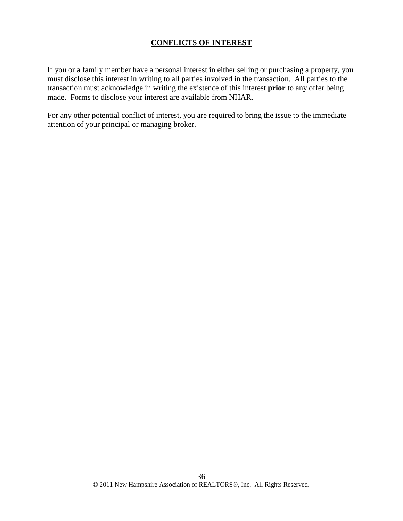#### **CONFLICTS OF INTEREST**

If you or a family member have a personal interest in either selling or purchasing a property, you must disclose this interest in writing to all parties involved in the transaction. All parties to the transaction must acknowledge in writing the existence of this interest **prior** to any offer being made. Forms to disclose your interest are available from NHAR.

For any other potential conflict of interest, you are required to bring the issue to the immediate attention of your principal or managing broker.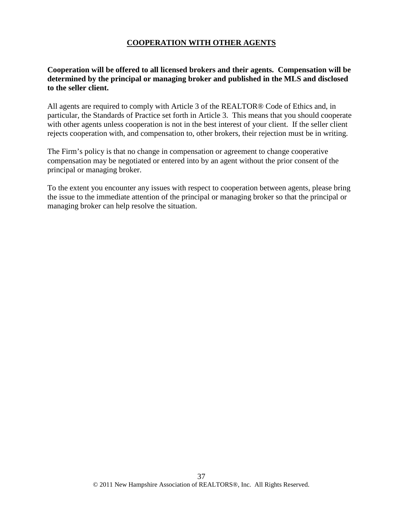### **COOPERATION WITH OTHER AGENTS**

### **Cooperation will be offered to all licensed brokers and their agents. Compensation will be determined by the principal or managing broker and published in the MLS and disclosed to the seller client.**

All agents are required to comply with Article 3 of the REALTOR® Code of Ethics and, in particular, the Standards of Practice set forth in Article 3. This means that you should cooperate with other agents unless cooperation is not in the best interest of your client. If the seller client rejects cooperation with, and compensation to, other brokers, their rejection must be in writing.

The Firm's policy is that no change in compensation or agreement to change cooperative compensation may be negotiated or entered into by an agent without the prior consent of the principal or managing broker.

To the extent you encounter any issues with respect to cooperation between agents, please bring the issue to the immediate attention of the principal or managing broker so that the principal or managing broker can help resolve the situation.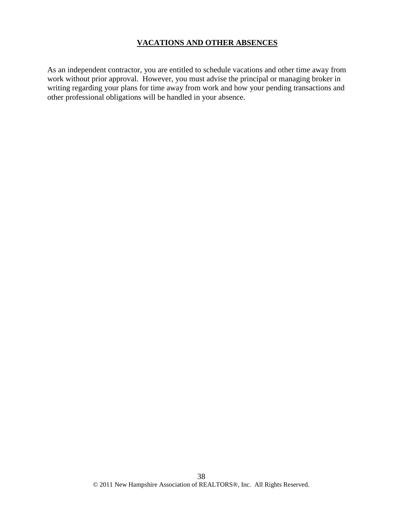#### **VACATIONS AND OTHER ABSENCES**

As an independent contractor, you are entitled to schedule vacations and other time away from work without prior approval. However, you must advise the principal or managing broker in writing regarding your plans for time away from work and how your pending transactions and other professional obligations will be handled in your absence.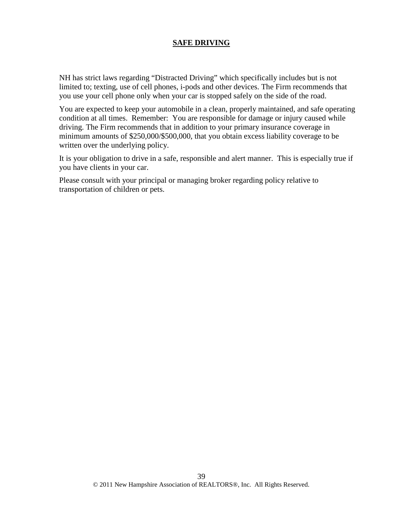#### **SAFE DRIVING**

NH has strict laws regarding "Distracted Driving" which specifically includes but is not limited to; texting, use of cell phones, i-pods and other devices. The Firm recommends that you use your cell phone only when your car is stopped safely on the side of the road.

You are expected to keep your automobile in a clean, properly maintained, and safe operating condition at all times. Remember: You are responsible for damage or injury caused while driving. The Firm recommends that in addition to your primary insurance coverage in minimum amounts of \$250,000/\$500,000, that you obtain excess liability coverage to be written over the underlying policy.

It is your obligation to drive in a safe, responsible and alert manner. This is especially true if you have clients in your car.

Please consult with your principal or managing broker regarding policy relative to transportation of children or pets.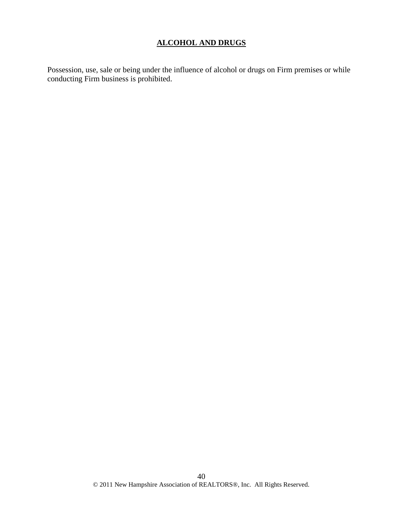# **ALCOHOL AND DRUGS**

Possession, use, sale or being under the influence of alcohol or drugs on Firm premises or while conducting Firm business is prohibited.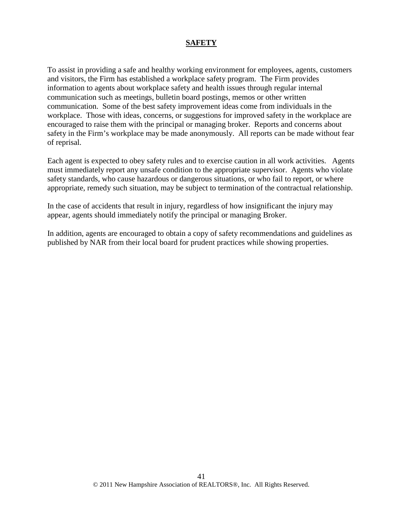#### **SAFETY**

To assist in providing a safe and healthy working environment for employees, agents, customers and visitors, the Firm has established a workplace safety program. The Firm provides information to agents about workplace safety and health issues through regular internal communication such as meetings, bulletin board postings, memos or other written communication. Some of the best safety improvement ideas come from individuals in the workplace. Those with ideas, concerns, or suggestions for improved safety in the workplace are encouraged to raise them with the principal or managing broker. Reports and concerns about safety in the Firm's workplace may be made anonymously. All reports can be made without fear of reprisal.

Each agent is expected to obey safety rules and to exercise caution in all work activities. Agents must immediately report any unsafe condition to the appropriate supervisor. Agents who violate safety standards, who cause hazardous or dangerous situations, or who fail to report, or where appropriate, remedy such situation, may be subject to termination of the contractual relationship.

In the case of accidents that result in injury, regardless of how insignificant the injury may appear, agents should immediately notify the principal or managing Broker.

In addition, agents are encouraged to obtain a copy of safety recommendations and guidelines as published by NAR from their local board for prudent practices while showing properties.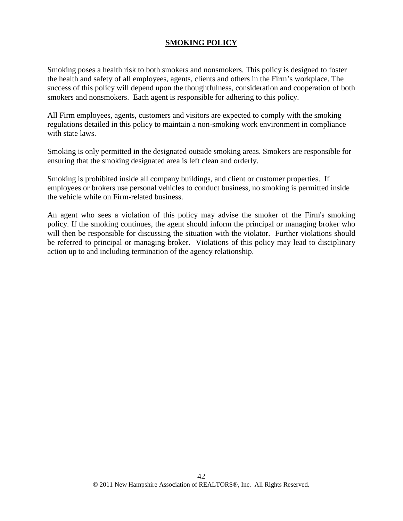### **SMOKING POLICY**

Smoking poses a health risk to both smokers and nonsmokers. This policy is designed to foster the health and safety of all employees, agents, clients and others in the Firm's workplace. The success of this policy will depend upon the thoughtfulness, consideration and cooperation of both smokers and nonsmokers. Each agent is responsible for adhering to this policy.

All Firm employees, agents, customers and visitors are expected to comply with the smoking regulations detailed in this policy to maintain a non-smoking work environment in compliance with state laws.

Smoking is only permitted in the designated outside smoking areas. Smokers are responsible for ensuring that the smoking designated area is left clean and orderly.

Smoking is prohibited inside all company buildings, and client or customer properties. If employees or brokers use personal vehicles to conduct business, no smoking is permitted inside the vehicle while on Firm-related business.

An agent who sees a violation of this policy may advise the smoker of the Firm's smoking policy. If the smoking continues, the agent should inform the principal or managing broker who will then be responsible for discussing the situation with the violator. Further violations should be referred to principal or managing broker. Violations of this policy may lead to disciplinary action up to and including termination of the agency relationship.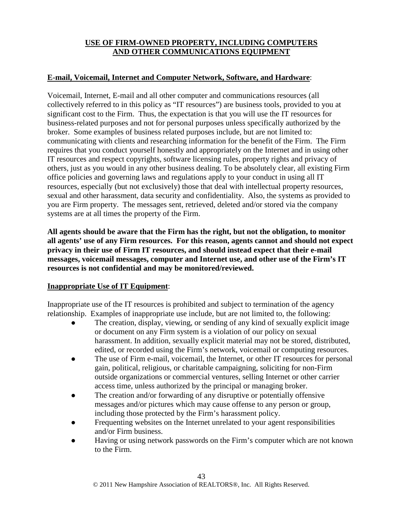# **USE OF FIRM-OWNED PROPERTY, INCLUDING COMPUTERS AND OTHER COMMUNICATIONS EQUIPMENT**

# **E-mail, Voicemail, Internet and Computer Network, Software, and Hardware**:

Voicemail, Internet, E-mail and all other computer and communications resources (all collectively referred to in this policy as "IT resources") are business tools, provided to you at significant cost to the Firm. Thus, the expectation is that you will use the IT resources for business-related purposes and not for personal purposes unless specifically authorized by the broker. Some examples of business related purposes include, but are not limited to: communicating with clients and researching information for the benefit of the Firm. The Firm requires that you conduct yourself honestly and appropriately on the Internet and in using other IT resources and respect copyrights, software licensing rules, property rights and privacy of others, just as you would in any other business dealing. To be absolutely clear, all existing Firm office policies and governing laws and regulations apply to your conduct in using all IT resources, especially (but not exclusively) those that deal with intellectual property resources, sexual and other harassment, data security and confidentiality. Also, the systems as provided to you are Firm property. The messages sent, retrieved, deleted and/or stored via the company systems are at all times the property of the Firm.

**All agents should be aware that the Firm has the right, but not the obligation, to monitor all agents' use of any Firm resources. For this reason, agents cannot and should not expect privacy in their use of Firm IT resources, and should instead expect that their e-mail messages, voicemail messages, computer and Internet use, and other use of the Firm's IT resources is not confidential and may be monitored/reviewed.** 

# **Inappropriate Use of IT Equipment**:

Inappropriate use of the IT resources is prohibited and subject to termination of the agency relationship. Examples of inappropriate use include, but are not limited to, the following:

- The creation, display, viewing, or sending of any kind of sexually explicit image or document on any Firm system is a violation of our policy on sexual harassment. In addition, sexually explicit material may not be stored, distributed, edited, or recorded using the Firm's network, voicemail or computing resources.
- The use of Firm e-mail, voicemail, the Internet, or other IT resources for personal gain, political, religious, or charitable campaigning, soliciting for non-Firm outside organizations or commercial ventures, selling Internet or other carrier access time, unless authorized by the principal or managing broker.
- The creation and/or forwarding of any disruptive or potentially offensive messages and/or pictures which may cause offense to any person or group, including those protected by the Firm's harassment policy.
- Frequenting websites on the Internet unrelated to your agent responsibilities and/or Firm business.
- Having or using network passwords on the Firm's computer which are not known to the Firm.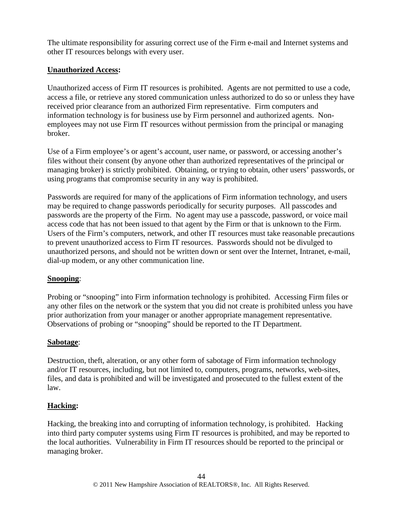The ultimate responsibility for assuring correct use of the Firm e-mail and Internet systems and other IT resources belongs with every user.

### **Unauthorized Access:**

Unauthorized access of Firm IT resources is prohibited. Agents are not permitted to use a code, access a file, or retrieve any stored communication unless authorized to do so or unless they have received prior clearance from an authorized Firm representative. Firm computers and information technology is for business use by Firm personnel and authorized agents. Nonemployees may not use Firm IT resources without permission from the principal or managing broker.

Use of a Firm employee's or agent's account, user name, or password, or accessing another's files without their consent (by anyone other than authorized representatives of the principal or managing broker) is strictly prohibited. Obtaining, or trying to obtain, other users' passwords, or using programs that compromise security in any way is prohibited.

Passwords are required for many of the applications of Firm information technology, and users may be required to change passwords periodically for security purposes. All passcodes and passwords are the property of the Firm. No agent may use a passcode, password, or voice mail access code that has not been issued to that agent by the Firm or that is unknown to the Firm. Users of the Firm's computers, network, and other IT resources must take reasonable precautions to prevent unauthorized access to Firm IT resources. Passwords should not be divulged to unauthorized persons, and should not be written down or sent over the Internet, Intranet, e-mail, dial-up modem, or any other communication line.

#### **Snooping**:

Probing or "snooping" into Firm information technology is prohibited. Accessing Firm files or any other files on the network or the system that you did not create is prohibited unless you have prior authorization from your manager or another appropriate management representative. Observations of probing or "snooping" should be reported to the IT Department.

#### **Sabotage**:

Destruction, theft, alteration, or any other form of sabotage of Firm information technology and/or IT resources, including, but not limited to, computers, programs, networks, web-sites, files, and data is prohibited and will be investigated and prosecuted to the fullest extent of the law.

#### **Hacking:**

Hacking, the breaking into and corrupting of information technology, is prohibited. Hacking into third party computer systems using Firm IT resources is prohibited, and may be reported to the local authorities. Vulnerability in Firm IT resources should be reported to the principal or managing broker.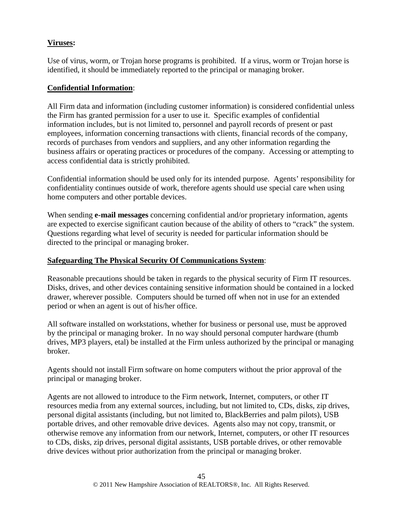# **Viruses:**

Use of virus, worm, or Trojan horse programs is prohibited. If a virus, worm or Trojan horse is identified, it should be immediately reported to the principal or managing broker.

# **Confidential Information**:

All Firm data and information (including customer information) is considered confidential unless the Firm has granted permission for a user to use it. Specific examples of confidential information includes, but is not limited to, personnel and payroll records of present or past employees, information concerning transactions with clients, financial records of the company, records of purchases from vendors and suppliers, and any other information regarding the business affairs or operating practices or procedures of the company. Accessing or attempting to access confidential data is strictly prohibited.

Confidential information should be used only for its intended purpose. Agents' responsibility for confidentiality continues outside of work, therefore agents should use special care when using home computers and other portable devices.

When sending **e-mail messages** concerning confidential and/or proprietary information, agents are expected to exercise significant caution because of the ability of others to "crack" the system. Questions regarding what level of security is needed for particular information should be directed to the principal or managing broker.

# **Safeguarding The Physical Security Of Communications System**:

Reasonable precautions should be taken in regards to the physical security of Firm IT resources. Disks, drives, and other devices containing sensitive information should be contained in a locked drawer, wherever possible. Computers should be turned off when not in use for an extended period or when an agent is out of his/her office.

All software installed on workstations, whether for business or personal use, must be approved by the principal or managing broker. In no way should personal computer hardware (thumb drives, MP3 players, etal) be installed at the Firm unless authorized by the principal or managing broker.

Agents should not install Firm software on home computers without the prior approval of the principal or managing broker.

Agents are not allowed to introduce to the Firm network, Internet, computers, or other IT resources media from any external sources, including, but not limited to, CDs, disks, zip drives, personal digital assistants (including, but not limited to, BlackBerries and palm pilots), USB portable drives, and other removable drive devices. Agents also may not copy, transmit, or otherwise remove any information from our network, Internet, computers, or other IT resources to CDs, disks, zip drives, personal digital assistants, USB portable drives, or other removable drive devices without prior authorization from the principal or managing broker.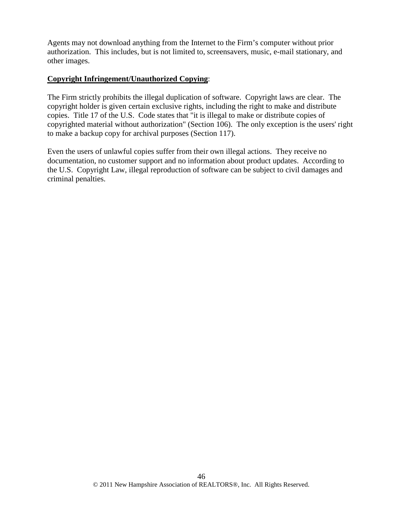Agents may not download anything from the Internet to the Firm's computer without prior authorization. This includes, but is not limited to, screensavers, music, e-mail stationary, and other images.

#### **Copyright Infringement/Unauthorized Copying**:

The Firm strictly prohibits the illegal duplication of software. Copyright laws are clear. The copyright holder is given certain exclusive rights, including the right to make and distribute copies. Title 17 of the U.S. Code states that "it is illegal to make or distribute copies of copyrighted material without authorization" (Section 106). The only exception is the users' right to make a backup copy for archival purposes (Section 117).

Even the users of unlawful copies suffer from their own illegal actions. They receive no documentation, no customer support and no information about product updates. According to the U.S. Copyright Law, illegal reproduction of software can be subject to civil damages and criminal penalties.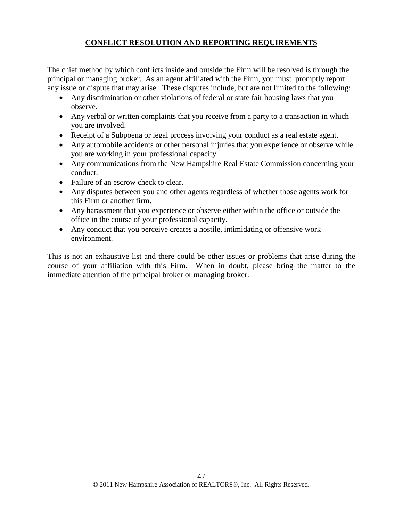# **CONFLICT RESOLUTION AND REPORTING REQUIREMENTS**

The chief method by which conflicts inside and outside the Firm will be resolved is through the principal or managing broker. As an agent affiliated with the Firm, you must promptly report any issue or dispute that may arise. These disputes include, but are not limited to the following:

- Any discrimination or other violations of federal or state fair housing laws that you observe.
- Any verbal or written complaints that you receive from a party to a transaction in which you are involved.
- Receipt of a Subpoena or legal process involving your conduct as a real estate agent.
- Any automobile accidents or other personal injuries that you experience or observe while you are working in your professional capacity.
- Any communications from the New Hampshire Real Estate Commission concerning your conduct.
- Failure of an escrow check to clear.
- Any disputes between you and other agents regardless of whether those agents work for this Firm or another firm.
- Any harassment that you experience or observe either within the office or outside the office in the course of your professional capacity.
- Any conduct that you perceive creates a hostile, intimidating or offensive work environment.

This is not an exhaustive list and there could be other issues or problems that arise during the course of your affiliation with this Firm. When in doubt, please bring the matter to the immediate attention of the principal broker or managing broker.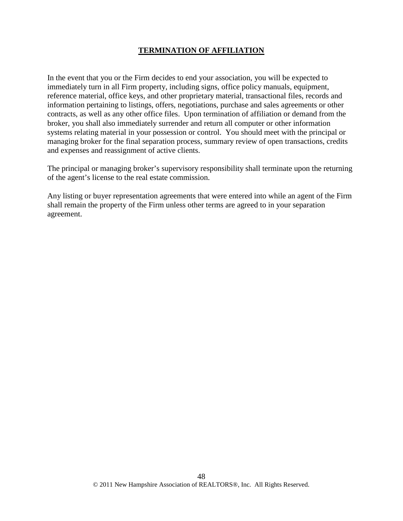# **TERMINATION OF AFFILIATION**

In the event that you or the Firm decides to end your association, you will be expected to immediately turn in all Firm property, including signs, office policy manuals, equipment, reference material, office keys, and other proprietary material, transactional files, records and information pertaining to listings, offers, negotiations, purchase and sales agreements or other contracts, as well as any other office files. Upon termination of affiliation or demand from the broker, you shall also immediately surrender and return all computer or other information systems relating material in your possession or control. You should meet with the principal or managing broker for the final separation process, summary review of open transactions, credits and expenses and reassignment of active clients.

The principal or managing broker's supervisory responsibility shall terminate upon the returning of the agent's license to the real estate commission.

Any listing or buyer representation agreements that were entered into while an agent of the Firm shall remain the property of the Firm unless other terms are agreed to in your separation agreement.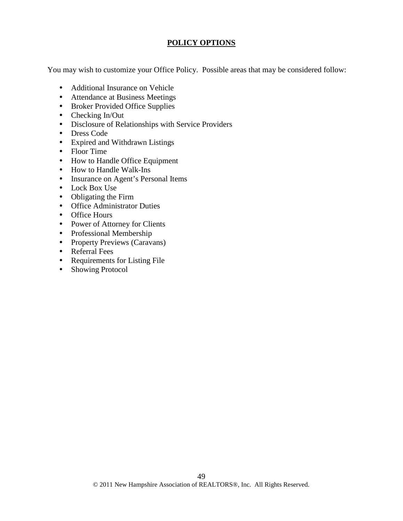#### **POLICY OPTIONS**

You may wish to customize your Office Policy. Possible areas that may be considered follow:

- Additional Insurance on Vehicle
- Attendance at Business Meetings
- Broker Provided Office Supplies
- Checking In/Out
- Disclosure of Relationships with Service Providers
- Dress Code
- Expired and Withdrawn Listings
- Floor Time
- How to Handle Office Equipment
- How to Handle Walk-Ins
- Insurance on Agent's Personal Items
- Lock Box Use
- Obligating the Firm
- Office Administrator Duties
- Office Hours
- Power of Attorney for Clients
- Professional Membership
- Property Previews (Caravans)
- Referral Fees
- Requirements for Listing File
- Showing Protocol